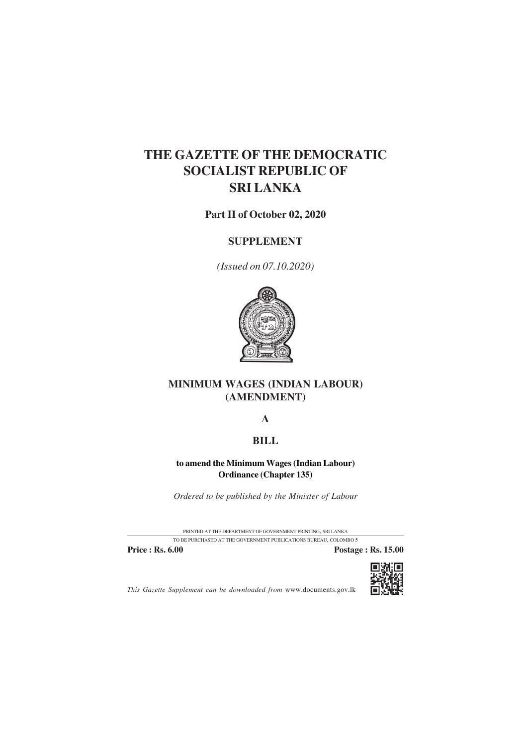# **THE GAZETTE OF THE DEMOCRATIC SOCIALIST REPUBLIC OF SRI LANKA**

**Part II of October 02, 2020**

### **SUPPLEMENT**

*(Issued on 07.10.2020)*



### **MINIMUM WAGES (INDIAN LABOUR) (AMENDMENT)**

**A**

## **BILL**

#### **to amend the Minimum Wages (Indian Labour) Ordinance (Chapter 135)**

*Ordered to be published by the Minister of Labour*

PRINTED AT THE DEPARTMENT OF GOVERNMENT PRINTING, SRI LANKA TO BE PURCHASED AT THE GOVERNMENT PUBLICATIONS BUREAU, COLOMBO 5

**Price : Rs. 6.00 Postage : Rs. 15.00** 



*This Gazette Supplement can be downloaded from* www.documents.gov.lk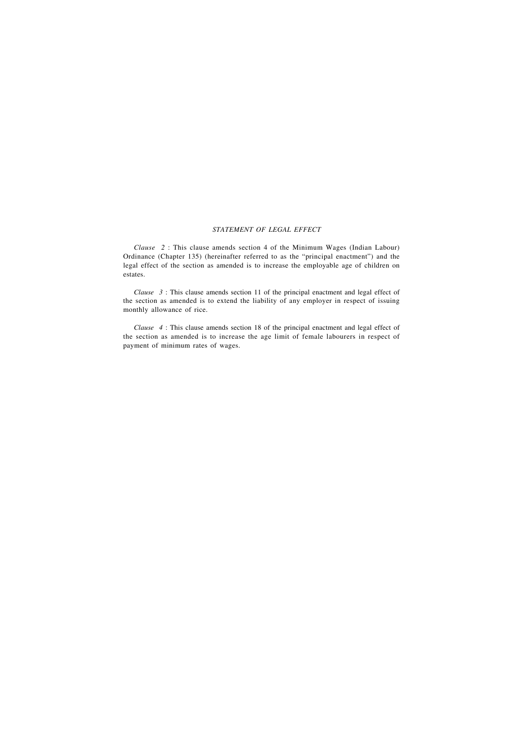#### *STATEMENT OF LEGAL EFFECT*

*Clause 2* : This clause amends section 4 of the Minimum Wages (Indian Labour) Ordinance (Chapter 135) (hereinafter referred to as the "principal enactment") and the legal effect of the section as amended is to increase the employable age of children on estates.

*Clause 3* : This clause amends section 11 of the principal enactment and legal effect of the section as amended is to extend the liability of any employer in respect of issuing monthly allowance of rice.

*Clause 4* : This clause amends section 18 of the principal enactment and legal effect of the section as amended is to increase the age limit of female labourers in respect of payment of minimum rates of wages.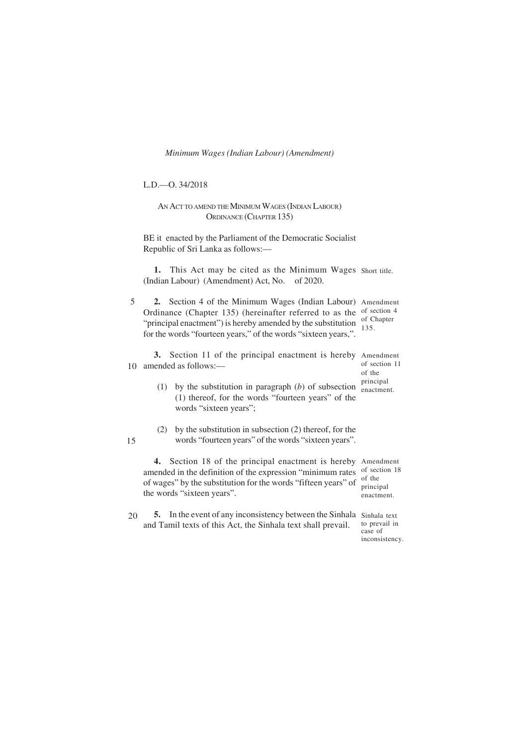*Minimum Wages (Indian Labour) (Amendment)* 1

L.D.—O. 34/2018

15

AN ACT TO AMEND THE MINIMUM WAGES (INDIAN LABOUR) ORDINANCE (CHAPTER 135)

BE it enacted by the Parliament of the Democratic Socialist Republic of Sri Lanka as follows:—

1. This Act may be cited as the Minimum Wages Short title. (Indian Labour) (Amendment) Act, No. of 2020.

5 **2.** Section 4 of the Minimum Wages (Indian Labour) Amendment Ordinance (Chapter 135) (hereinafter referred to as the of section 4 "principal enactment") is hereby amended by the substitution for the words "fourteen years," of the words "sixteen years,". of Chapter 135.

**3.** Section 11 of the principal enactment is hereby Amendment 10 amended as follows:of section 11 of the principal

- (1) by the substitution in paragraph (*b*) of subsection (1) thereof, for the words "fourteen years" of the words "sixteen years"; enactment.
- (2) by the substitution in subsection (2) thereof, for the words "fourteen years" of the words "sixteen years".

**4.** Section 18 of the principal enactment is hereby Amendment amended in the definition of the expression "minimum rates of section 18 of wages" by the substitution for the words "fifteen years" of the words "sixteen years".

5. In the event of any inconsistency between the Sinhala Sinhala text and Tamil texts of this Act, the Sinhala text shall prevail. 20

of the principal enactment.

to prevail in case of inconsistency.